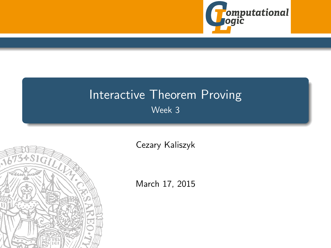

# <span id="page-0-0"></span>Interactive Theorem Proving Week 3



[Cezary Kaliszyk](http://cl-informatik.uibk.ac.at/~cek)

March 17, 2015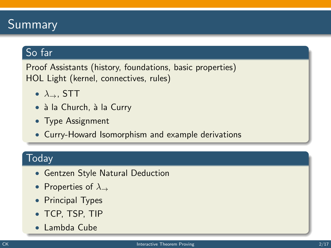# Summary

## So far

Proof Assistants (history, foundations, basic properties) HOL Light (kernel, connectives, rules)

- $\lambda_{\rightarrow}$ , STT
- à la Church, à la Curry
- Type Assignment
- Curry-Howard Isomorphism and example derivations

## Today

- Gentzen Style Natural Deduction
- Properties of  $\lambda_{\rightarrow}$
- Principal Types
- TCP, TSP, TIP
- Lambda Cube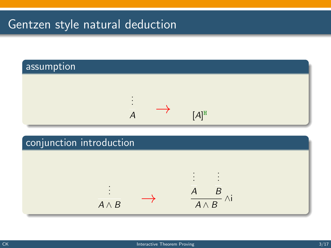



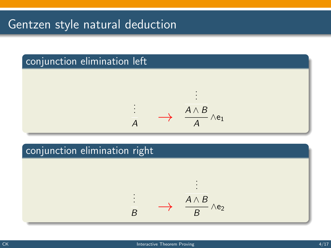## conjunction elimination left



#### conjunction elimination right

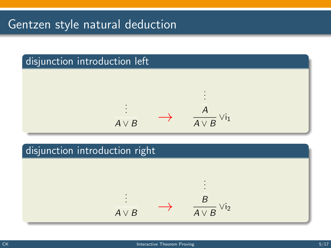

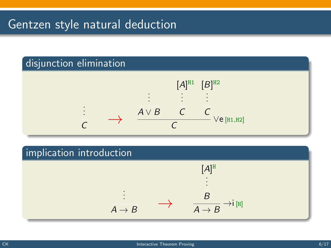### disjunction elimination



### implication introduction

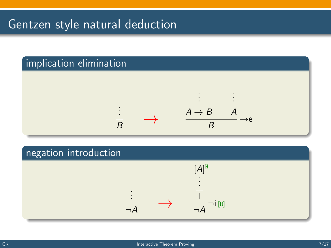

### negation introduction

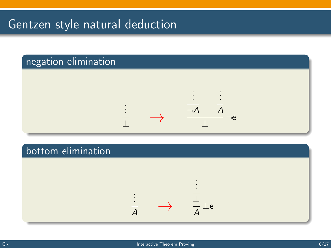## negation elimination



#### bottom elimination

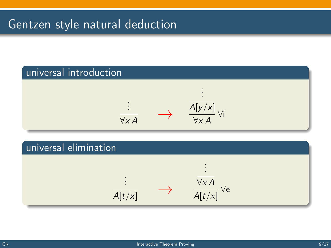

 $\overline{A[t/x]}$ ∀e

 $A[t/x]$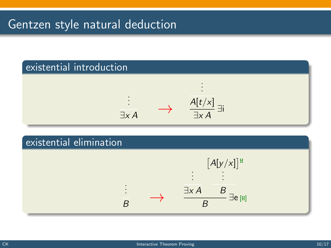

## existential elimination

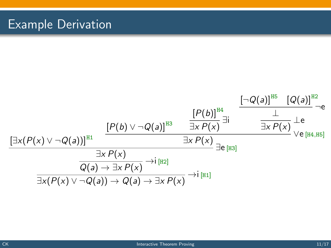# Example Derivation

$$
\frac{\left[P(b)\vee\neg Q(a)\right]^{H3}}{\frac{\exists x P(x)}{\exists x P(x)}}\frac{\frac{\left[P(b)\right]^{H4}}{\exists x P(x)}}{\frac{\bot}{\exists x P(x)}}\frac{\bot}{\frac{\bot}{\exists x P(x)}}\frac{\bot}{\bot}e}{\frac{\bot}{\exists x P(x)}\frac{\bot}{\bot}e}
$$
\n
$$
\frac{\frac{\left[P(b)\right]^{H4}}{\exists x P(x)}}{\frac{\bot}{\exists x P(x)}}\frac{\bot}{\bot}e}{\frac{\bot}{\exists x P(x)}\frac{\bot}{\bot}e}
$$
\n
$$
\frac{\frac{\bot}{\exists x P(x)}}{\frac{\bot}{\exists x P(x)}\frac{\bot}{\bot}e}}\frac{\bot}{\bot}e_{[H4, H5]}\frac{\bot}{\bot}e_{[H4, H5]}\frac{\bot}{\bot}e_{[H4, H5]}\frac{\bot}{\bot}e_{[H4, H5]}\frac{\bot}{\bot}e_{[H4, H5]}\frac{\bot}{\bot}e_{[H4, H5]}\frac{\bot}{\bot}e_{[H4, H5]}\frac{\bot}{\bot}e_{[H4, H5]}\frac{\bot}{\bot}e_{[H4, H5]}\frac{\bot}{\bot}e_{[H4, H5]}\frac{\bot}{\bot}e_{[H4, H5]}\frac{\bot}{\bot}e_{[H4, H5]}\frac{\bot}{\bot}e_{[H4, H5]}\frac{\bot}{\bot}e_{[H4, H5]}\frac{\bot}{\bot}e_{[H4, H5]}\frac{\bot}{\bot}e_{[H4, H5]}\frac{\bot}{\bot}e_{[H4, H5]}\frac{\bot}{\bot}e_{[H4, H5]}\frac{\bot}{\bot}e_{[H4, H5]}\frac{\bot}{\bot}e_{[H4, H5]}\frac{\bot}{\bot}e_{[H4, H5]}\frac{\bot}{\bot}e_{[H4, H5]}\frac{\bot}{\bot}e_{[H4, H5]}\frac{\bot}{\bot}e_{[H4, H5]}\frac{\bot}{\bot}e_{[H4, H5]}\frac{\bot}{\bot}e_{[H4, H5]}\frac{\bot}{\bot}e_{[H4, H5]}\frac{\bot}{\bot}e_{[H4, H5]}\frac{\bot}{\bot}e_{[H4, H5]}\frac{\bot}{\bot}e_{[H4, H5]}\frac{\bot}{\bot}e_{[H4, H5]}\frac{\bot}{\bot
$$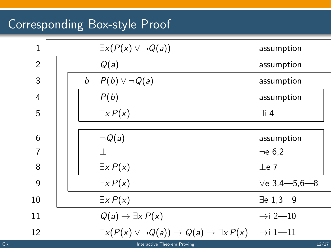# Corresponding Box-style Proof

| $\mathbf{1}$   |  |   | $\exists x(P(x) \vee \neg Q(a))$                                                                  | assumption           |  |
|----------------|--|---|---------------------------------------------------------------------------------------------------|----------------------|--|
| $\mathfrak{D}$ |  |   | Q(a)                                                                                              | assumption           |  |
| 3              |  | b | $P(b) \vee \neg Q(a)$                                                                             | assumption           |  |
| $\overline{4}$ |  |   | P(b)                                                                                              | assumption           |  |
| 5              |  |   | $\exists x P(x)$                                                                                  | $\exists i$ 4        |  |
|                |  |   |                                                                                                   |                      |  |
| 6              |  |   | $\neg Q(a)$                                                                                       | assumption           |  |
| 7              |  |   |                                                                                                   | $\neg$ e 6.2         |  |
| 8              |  |   | $\exists x P(x)$                                                                                  | $\perp$ e 7          |  |
| 9              |  |   | $\exists x P(x)$                                                                                  | $Ve$ 3,4-5,6-8       |  |
| 10             |  |   | $\exists x P(x)$                                                                                  | $\exists$ e 1,3-9    |  |
| 11             |  |   | $Q(a) \rightarrow \exists x P(x)$                                                                 | $\rightarrow$ i 2-10 |  |
| 12             |  |   | $\exists x(P(x) \vee \neg Q(a)) \rightarrow Q(a) \rightarrow \exists x P(x)$ $\rightarrow$ i 1—11 |                      |  |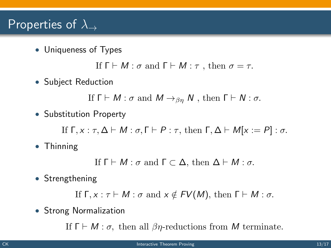## Properties of  $\lambda_{\rightarrow}$

• Uniqueness of Types

```
If \Gamma \vdash M : \sigma and \Gamma \vdash M : \tau, then \sigma = \tau.
```
• Subject Reduction

If  $\Gamma \vdash M : \sigma$  and  $M \rightarrow_{\beta\eta} N$ , then  $\Gamma \vdash N : \sigma$ .

• Substitution Property

If  $\Gamma, x : \tau, \Delta \vdash M : \sigma, \Gamma \vdash P : \tau$ , then  $\Gamma, \Delta \vdash M[x := P] : \sigma$ .

• Thinning

If  $\Gamma \vdash M : \sigma$  and  $\Gamma \subset \Delta$ , then  $\Delta \vdash M : \sigma$ .

• Strengthening

If  $\Gamma, x : \tau \vdash M : \sigma$  and  $x \notin FV(M)$ , then  $\Gamma \vdash M : \sigma$ .

• Strong Normalization

If  $\Gamma \vdash M : \sigma$ , then all  $\beta \eta$ -reductions from M terminate.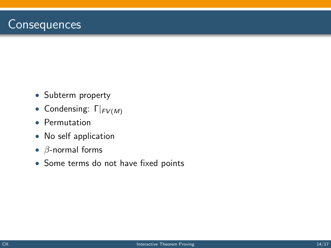## **Consequences**

- Subterm property
- Condensing:  $\Gamma|_{FV(M)}$
- Permutation
- No self application
- $\bullet$   $\beta$ -normal forms
- Some terms do not have fixed points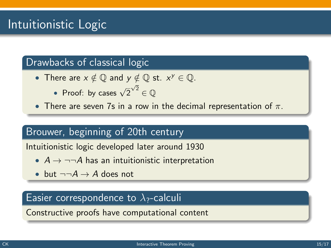# Intuitionistic Logic

### Drawbacks of classical logic

- There are  $x \notin \mathbb{Q}$  and  $y \notin \mathbb{Q}$  st.  $x^y \in \mathbb{Q}$ .
	- Proof: by cases  $\sqrt{2}$  $\sqrt{2} \in \mathbb{Q}$
- There are seven 7s in a row in the decimal representation of  $\pi$ .

### Brouwer, beginning of 20th century

Intuitionistic logic developed later around 1930

- $A \rightarrow \neg\neg A$  has an intuitionistic interpretation
- but  $\neg\neg A \rightarrow A$  does not

#### Easier correspondence to  $\lambda$ <sub>?</sub>-calculi

Constructive proofs have computational content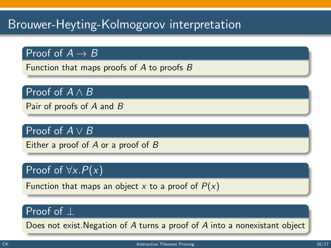# Brouwer-Heyting-Kolmogorov interpretation

#### Proof of  $A \rightarrow B$

Function that maps proofs of A to proofs B

## Proof of  $A \wedge B$

Pair of proofs of A and B

### Proof of  $A \vee B$

Either a proof of  $A$  or a proof of  $B$ 

## Proof of  $\forall x.P(x)$

Function that maps an object x to a proof of  $P(x)$ 

### Proof of ⊥

Does not exist.Negation of A turns a proof of A into a nonexistant object